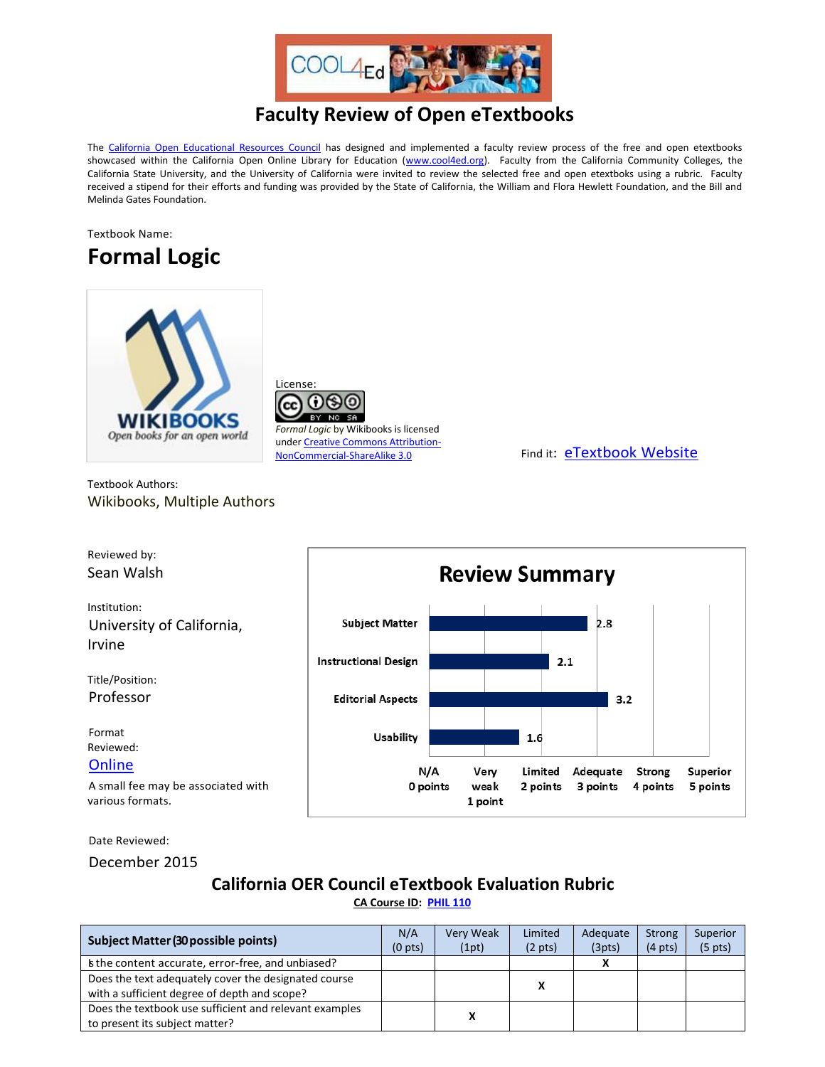

## **Faculty Review of Open eTextbooks**

The [California Open Educational Resources Council](http://icas-ca.org/coerc) has designed and implemented a faculty review process of the free and open etextbooks showcased within the California Open Online Library for Education [\(www.cool4ed.org\)](http://www.cool4ed.org/). Faculty from the California Community Colleges, the California State University, and the University of California were invited to review the selected free and open etextboks using a rubric. Faculty received a stipend for their efforts and funding was provided by the State of California, the William and Flora Hewlett Foundation, and the Bill and Melinda Gates Foundation.





License:

*Formal Logic* by Wikibooks is licensed unde[r Creative Commons Attribution-](http://creativecommons.org/licenses/by-nc-sa/3.0/us/?_popup=true&_resize=true)[NonCommercial-ShareAlike 3.0](http://creativecommons.org/licenses/by-nc-sa/3.0/us/?_popup=true&_resize=true) Find it: [eTextbook](https://en.wikibooks.org/wiki/Formal_Logic) Website

Textbook Authors: Wikibooks, Multiple Authors



Date Reviewed:

December 2015

## **California OER Council eTextbook Evaluation Rubric**

**[CA Course ID:](https://c-id.net/about.html) [PHIL 110](https://c-id.net/descriptor_details.html?descriptor=192)**

| Subject Matter (30 possible points)                                                                  | N/A<br>(0 <sub>pts</sub> ) | Very Weak<br>(1pt) | Limited<br>$(2 \text{ pts})$ | Adequate<br>(3pts) | Strong<br>$(4 \text{ pts})$ | Superior<br>(5 <sub>pts</sub> ) |
|------------------------------------------------------------------------------------------------------|----------------------------|--------------------|------------------------------|--------------------|-----------------------------|---------------------------------|
| s the content accurate, error-free, and unbiased?                                                    |                            |                    |                              |                    |                             |                                 |
| Does the text adequately cover the designated course<br>with a sufficient degree of depth and scope? |                            |                    | x                            |                    |                             |                                 |
| Does the textbook use sufficient and relevant examples<br>to present its subject matter?             |                            | v                  |                              |                    |                             |                                 |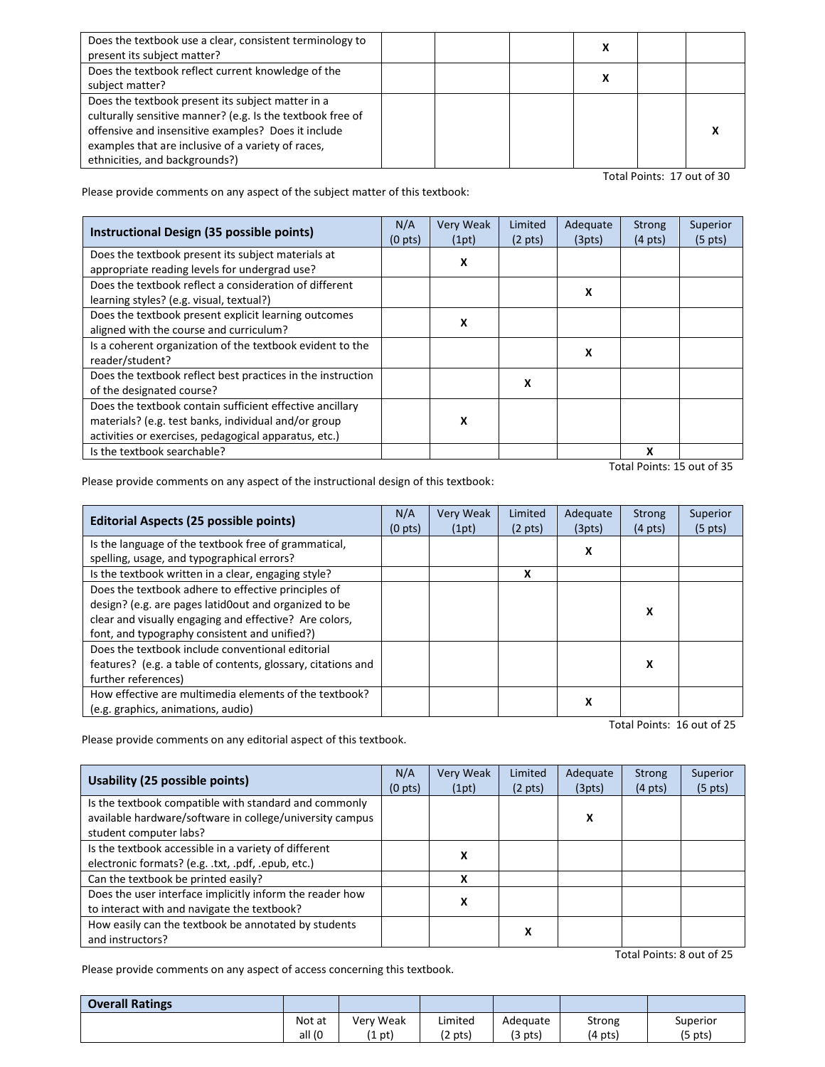| Does the textbook use a clear, consistent terminology to<br>present its subject matter?                                                                                                                                                                        |  |  |  |
|----------------------------------------------------------------------------------------------------------------------------------------------------------------------------------------------------------------------------------------------------------------|--|--|--|
| Does the textbook reflect current knowledge of the<br>subject matter?                                                                                                                                                                                          |  |  |  |
| Does the textbook present its subject matter in a<br>culturally sensitive manner? (e.g. Is the textbook free of<br>offensive and insensitive examples? Does it include<br>examples that are inclusive of a variety of races,<br>ethnicities, and backgrounds?) |  |  |  |

Total Points: 17 out of 30

Please provide comments on any aspect of the subject matter of this textbook:

| Instructional Design (35 possible points)                                                                                                                                 |  | Very Weak<br>(1pt) | Limited<br>$(2 \text{ pts})$ | Adequate<br>(3pts) | <b>Strong</b><br>$(4 \text{ pts})$ | Superior<br>$(5 \text{ pts})$ |
|---------------------------------------------------------------------------------------------------------------------------------------------------------------------------|--|--------------------|------------------------------|--------------------|------------------------------------|-------------------------------|
| Does the textbook present its subject materials at<br>appropriate reading levels for undergrad use?                                                                       |  | X                  |                              |                    |                                    |                               |
| Does the textbook reflect a consideration of different<br>learning styles? (e.g. visual, textual?)                                                                        |  |                    |                              | X                  |                                    |                               |
| Does the textbook present explicit learning outcomes<br>aligned with the course and curriculum?                                                                           |  | X                  |                              |                    |                                    |                               |
| Is a coherent organization of the textbook evident to the<br>reader/student?                                                                                              |  |                    |                              | x                  |                                    |                               |
| Does the textbook reflect best practices in the instruction<br>of the designated course?                                                                                  |  |                    | x                            |                    |                                    |                               |
| Does the textbook contain sufficient effective ancillary<br>materials? (e.g. test banks, individual and/or group<br>activities or exercises, pedagogical apparatus, etc.) |  | x                  |                              |                    |                                    |                               |
| Is the textbook searchable?                                                                                                                                               |  |                    |                              |                    | X                                  |                               |
|                                                                                                                                                                           |  |                    |                              |                    | Total Points: 15 out of 35         |                               |

Please provide comments on any aspect of the instructional design of this textbook:

| <b>Editorial Aspects (25 possible points)</b>                |  | Very Weak | Limited           | Adequate | <b>Strong</b>     | Superior          |
|--------------------------------------------------------------|--|-----------|-------------------|----------|-------------------|-------------------|
|                                                              |  | (1pt)     | $(2 \text{ pts})$ | (3pts)   | $(4 \text{ pts})$ | $(5 \text{ pts})$ |
| Is the language of the textbook free of grammatical,         |  |           |                   | x        |                   |                   |
| spelling, usage, and typographical errors?                   |  |           |                   |          |                   |                   |
| Is the textbook written in a clear, engaging style?          |  |           | x                 |          |                   |                   |
| Does the textbook adhere to effective principles of          |  |           |                   |          |                   |                   |
| design? (e.g. are pages latid0out and organized to be        |  |           |                   |          | x                 |                   |
| clear and visually engaging and effective? Are colors,       |  |           |                   |          |                   |                   |
| font, and typography consistent and unified?)                |  |           |                   |          |                   |                   |
| Does the textbook include conventional editorial             |  |           |                   |          |                   |                   |
| features? (e.g. a table of contents, glossary, citations and |  |           |                   |          | x                 |                   |
| further references)                                          |  |           |                   |          |                   |                   |
| How effective are multimedia elements of the textbook?       |  |           |                   | x        |                   |                   |
| (e.g. graphics, animations, audio)                           |  |           |                   |          |                   |                   |

Total Points: 16 out of 25

Please provide comments on any editorial aspect of this textbook.

| <b>Usability (25 possible points)</b>                    |  | Very Weak | Limited           | Adequate | <b>Strong</b>     | Superior          |
|----------------------------------------------------------|--|-----------|-------------------|----------|-------------------|-------------------|
|                                                          |  | (1pt)     | $(2 \text{ pts})$ | (3pts)   | $(4 \text{ pts})$ | $(5 \text{ pts})$ |
| Is the textbook compatible with standard and commonly    |  |           |                   |          |                   |                   |
| available hardware/software in college/university campus |  |           |                   | X        |                   |                   |
| student computer labs?                                   |  |           |                   |          |                   |                   |
| Is the textbook accessible in a variety of different     |  | x         |                   |          |                   |                   |
| electronic formats? (e.g. .txt, .pdf, .epub, etc.)       |  |           |                   |          |                   |                   |
| Can the textbook be printed easily?                      |  | x         |                   |          |                   |                   |
| Does the user interface implicitly inform the reader how |  |           |                   |          |                   |                   |
| to interact with and navigate the textbook?              |  | x         |                   |          |                   |                   |
| How easily can the textbook be annotated by students     |  |           | х                 |          |                   |                   |
| and instructors?                                         |  |           |                   |          |                   |                   |
| Total Points: 8 out of 25                                |  |           |                   |          |                   |                   |

Please provide comments on any aspect of access concerning this textbook.

| <b>Overall Ratings</b> |        |           |               |          |         |           |
|------------------------|--------|-----------|---------------|----------|---------|-----------|
|                        | Not at | Very Weak | Limited       | Adequate | Strong  | Superior  |
|                        | all (0 | $(1$ pt)  | $\gamma$ pts) | (3 pts)  | (4 pts) | $(5$ pts) |